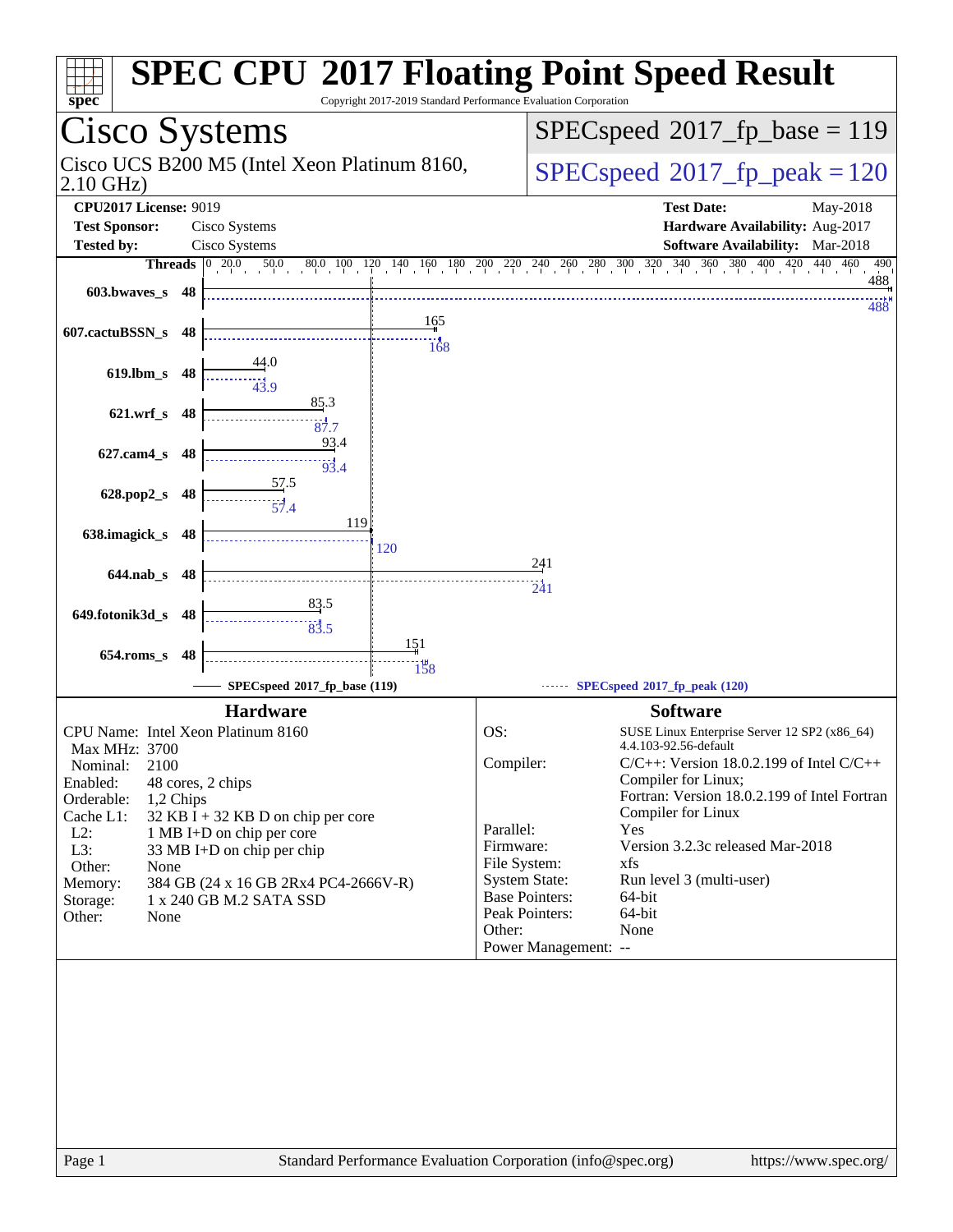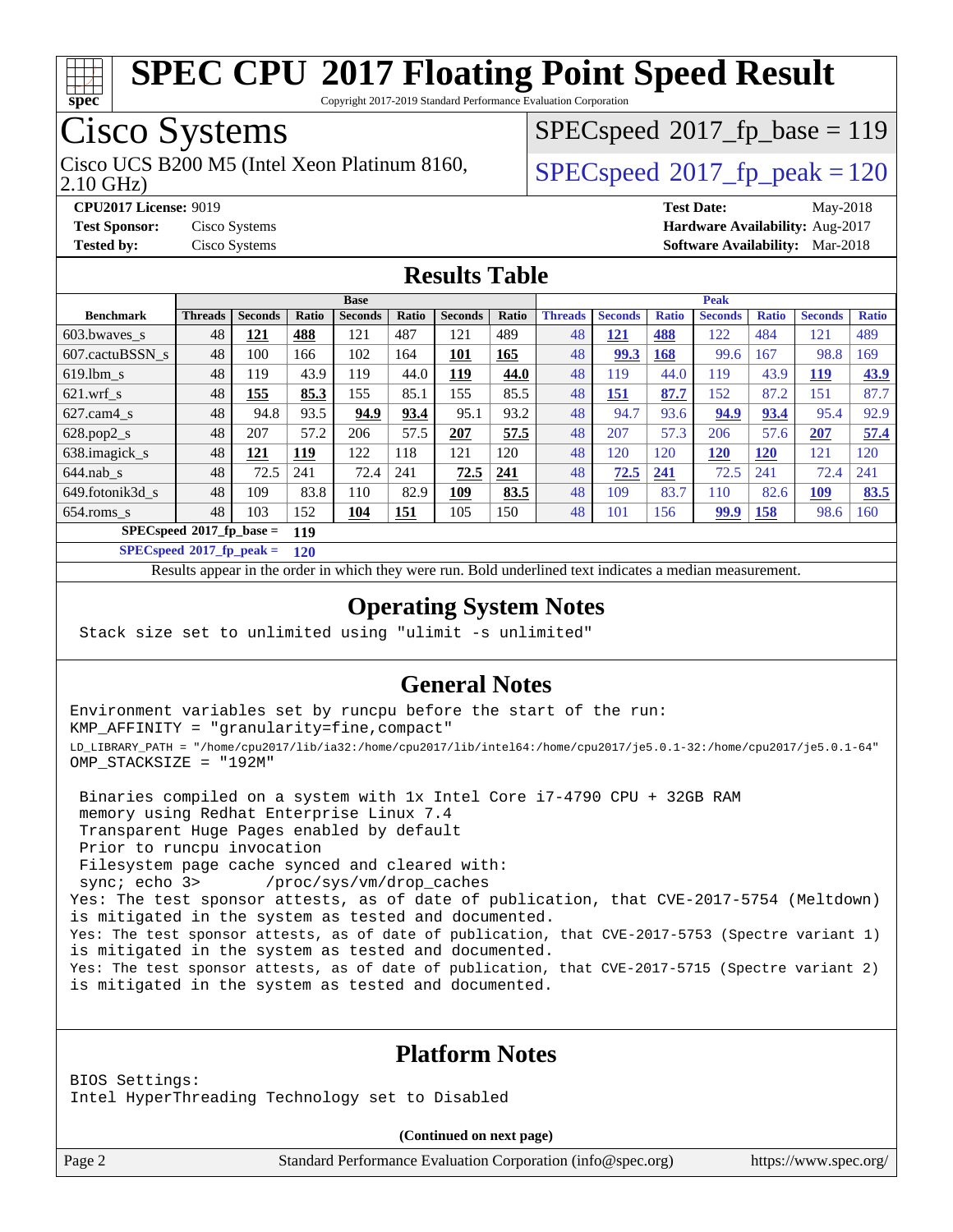

Copyright 2017-2019 Standard Performance Evaluation Corporation

# Cisco Systems

2.10 GHz) Cisco UCS B200 M5 (Intel Xeon Platinum 8160,  $\vert$  [SPECspeed](http://www.spec.org/auto/cpu2017/Docs/result-fields.html#SPECspeed2017fppeak)®2017 fp\_peak = 120

 $SPEC speed^{\circ}2017\_fp\_base = 119$ 

**[CPU2017 License:](http://www.spec.org/auto/cpu2017/Docs/result-fields.html#CPU2017License)** 9019 **[Test Date:](http://www.spec.org/auto/cpu2017/Docs/result-fields.html#TestDate)** May-2018 **[Test Sponsor:](http://www.spec.org/auto/cpu2017/Docs/result-fields.html#TestSponsor)** Cisco Systems **[Hardware Availability:](http://www.spec.org/auto/cpu2017/Docs/result-fields.html#HardwareAvailability)** Aug-2017 **[Tested by:](http://www.spec.org/auto/cpu2017/Docs/result-fields.html#Testedby)** Cisco Systems **[Software Availability:](http://www.spec.org/auto/cpu2017/Docs/result-fields.html#SoftwareAvailability)** Mar-2018

### **[Results Table](http://www.spec.org/auto/cpu2017/Docs/result-fields.html#ResultsTable)**

|                                    | <b>Base</b>    |                |       |                | <b>Peak</b> |                |       |                |                |              |                |              |                |              |
|------------------------------------|----------------|----------------|-------|----------------|-------------|----------------|-------|----------------|----------------|--------------|----------------|--------------|----------------|--------------|
| <b>Benchmark</b>                   | <b>Threads</b> | <b>Seconds</b> | Ratio | <b>Seconds</b> | Ratio       | <b>Seconds</b> | Ratio | <b>Threads</b> | <b>Seconds</b> | <b>Ratio</b> | <b>Seconds</b> | <b>Ratio</b> | <b>Seconds</b> | <b>Ratio</b> |
| $603.bwaves$ s                     | 48             | 121            | 488   | 121            | 487         | 121            | 489   | 48             | <u>121</u>     | 488          | 122            | 484          | 121            | 489          |
| 607.cactuBSSN s                    | 48             | 100            | 166   | 102            | 164         | <u>101</u>     | 165   | 48             | 99.3           | 168          | 99.6           | 167          | 98.8           | 169          |
| $619.1$ bm s                       | 48             | 119            | 43.9  | 119            | 44.0        | 119            | 44.0  | 48             | 119            | 44.0         | 119            | 43.9         | <b>119</b>     | 43.9         |
| $621$ .wrf s                       | 48             | 155            | 85.3  | 155            | 85.1        | 155            | 85.5  | 48             | 151            | 87.7         | 152            | 87.2         | 151            | 87.7         |
| $627$ .cam4 s                      | 48             | 94.8           | 93.5  | 94.9           | 93.4        | 95.1           | 93.2  | 48             | 94.7           | 93.6         | 94.9           | 93.4         | 95.4           | 92.9         |
| $628.pop2_s$                       | 48             | 207            | 57.2  | 206            | 57.5        | 207            | 57.5  | 48             | 207            | 57.3         | 206            | 57.6         | 207            | 57.4         |
| 638.imagick_s                      | 48             | 121            | 119   | 122            | 118         | 121            | 120   | 48             | 120            | 120          | 120            | <b>120</b>   | 121            | 120          |
| $644$ .nab s                       | 48             | 72.5           | 241   | 72.4           | 241         | 72.5           | 241   | 48             | 72.5           | 241          | 72.5           | 241          | 72.4           | 241          |
| 649.fotonik3d s                    | 48             | 109            | 83.8  | 110            | 82.9        | 109            | 83.5  | 48             | 109            | 83.7         | 110            | 82.6         | <u>109</u>     | 83.5         |
| $654$ .roms s                      | 48             | 103            | 152   | 104            | 151         | 105            | 150   | 48             | 101            | 156          | <u>99.9</u>    | <u>158</u>   | 98.6           | 160          |
| $SPECspeed*2017_fp\_base =$<br>119 |                |                |       |                |             |                |       |                |                |              |                |              |                |              |

**[SPECspeed](http://www.spec.org/auto/cpu2017/Docs/result-fields.html#SPECspeed2017fppeak)[2017\\_fp\\_peak =](http://www.spec.org/auto/cpu2017/Docs/result-fields.html#SPECspeed2017fppeak) 120**

Results appear in the [order in which they were run.](http://www.spec.org/auto/cpu2017/Docs/result-fields.html#RunOrder) Bold underlined text [indicates a median measurement](http://www.spec.org/auto/cpu2017/Docs/result-fields.html#Median).

### **[Operating System Notes](http://www.spec.org/auto/cpu2017/Docs/result-fields.html#OperatingSystemNotes)**

Stack size set to unlimited using "ulimit -s unlimited"

### **[General Notes](http://www.spec.org/auto/cpu2017/Docs/result-fields.html#GeneralNotes)**

Environment variables set by runcpu before the start of the run: KMP\_AFFINITY = "granularity=fine,compact" LD\_LIBRARY\_PATH = "/home/cpu2017/lib/ia32:/home/cpu2017/lib/intel64:/home/cpu2017/je5.0.1-32:/home/cpu2017/je5.0.1-64" OMP\_STACKSIZE = "192M"

 Binaries compiled on a system with 1x Intel Core i7-4790 CPU + 32GB RAM memory using Redhat Enterprise Linux 7.4 Transparent Huge Pages enabled by default Prior to runcpu invocation Filesystem page cache synced and cleared with: sync; echo 3> /proc/sys/vm/drop\_caches Yes: The test sponsor attests, as of date of publication, that CVE-2017-5754 (Meltdown) is mitigated in the system as tested and documented. Yes: The test sponsor attests, as of date of publication, that CVE-2017-5753 (Spectre variant 1) is mitigated in the system as tested and documented. Yes: The test sponsor attests, as of date of publication, that CVE-2017-5715 (Spectre variant 2) is mitigated in the system as tested and documented.

### **[Platform Notes](http://www.spec.org/auto/cpu2017/Docs/result-fields.html#PlatformNotes)**

BIOS Settings: Intel HyperThreading Technology set to Disabled

**(Continued on next page)**

Page 2 Standard Performance Evaluation Corporation [\(info@spec.org\)](mailto:info@spec.org) <https://www.spec.org/>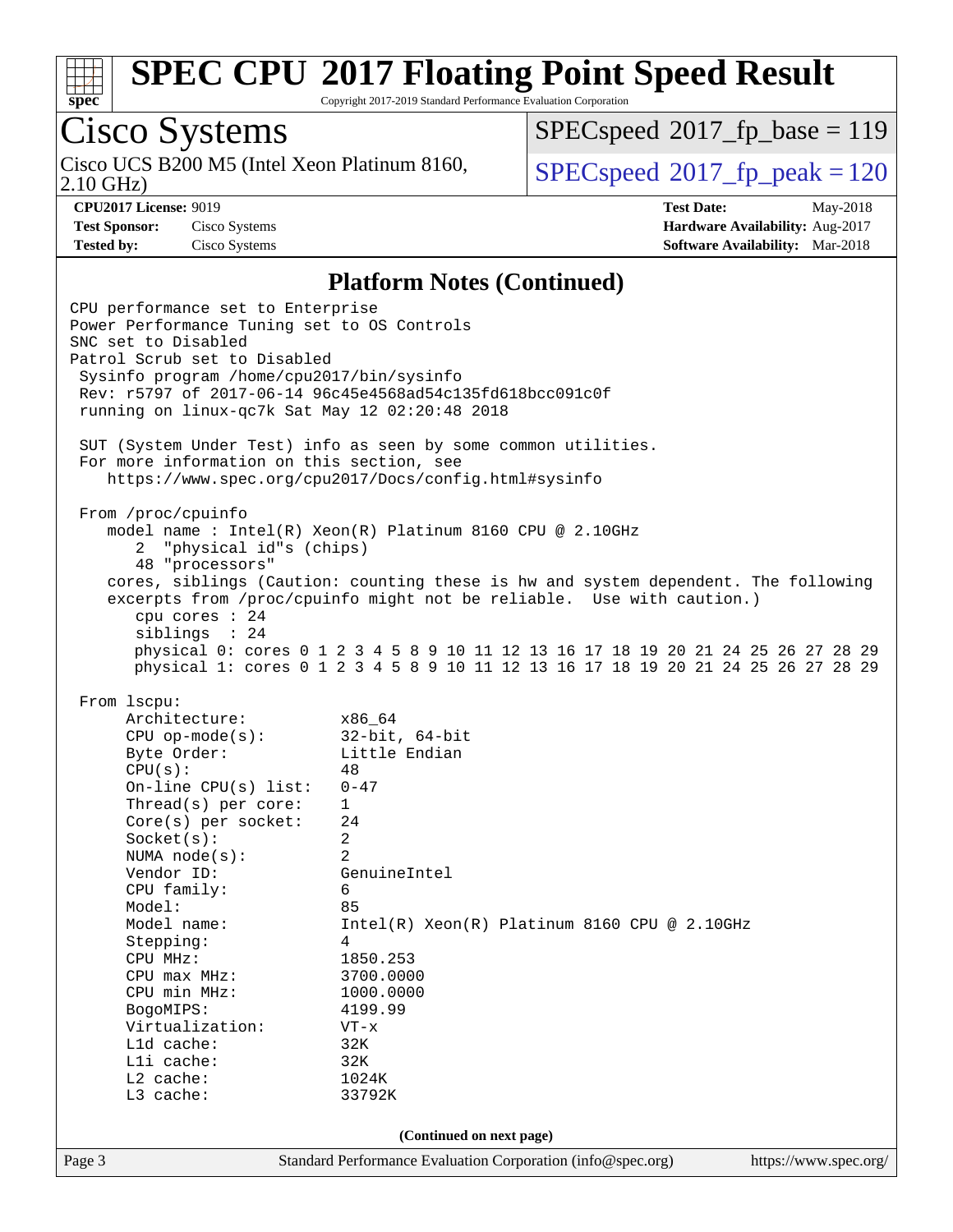

Copyright 2017-2019 Standard Performance Evaluation Corporation

# Cisco Systems

Cisco UCS B200 M5 (Intel Xeon Platinum 8160,<br>2.10 GHz)

[SPECspeed](http://www.spec.org/auto/cpu2017/Docs/result-fields.html#SPECspeed2017fpbase)<sup>®</sup>2017 fp base = 119

[SPECspeed](http://www.spec.org/auto/cpu2017/Docs/result-fields.html#SPECspeed2017fppeak)<sup>®</sup>2017 fp peak = 120

**[CPU2017 License:](http://www.spec.org/auto/cpu2017/Docs/result-fields.html#CPU2017License)** 9019 **[Test Date:](http://www.spec.org/auto/cpu2017/Docs/result-fields.html#TestDate)** May-2018 **[Test Sponsor:](http://www.spec.org/auto/cpu2017/Docs/result-fields.html#TestSponsor)** Cisco Systems **[Hardware Availability:](http://www.spec.org/auto/cpu2017/Docs/result-fields.html#HardwareAvailability)** Aug-2017 **[Tested by:](http://www.spec.org/auto/cpu2017/Docs/result-fields.html#Testedby)** Cisco Systems **[Software Availability:](http://www.spec.org/auto/cpu2017/Docs/result-fields.html#SoftwareAvailability)** Mar-2018

#### **[Platform Notes \(Continued\)](http://www.spec.org/auto/cpu2017/Docs/result-fields.html#PlatformNotes)**

Page 3 Standard Performance Evaluation Corporation [\(info@spec.org\)](mailto:info@spec.org) <https://www.spec.org/> CPU performance set to Enterprise Power Performance Tuning set to OS Controls SNC set to Disabled Patrol Scrub set to Disabled Sysinfo program /home/cpu2017/bin/sysinfo Rev: r5797 of 2017-06-14 96c45e4568ad54c135fd618bcc091c0f running on linux-qc7k Sat May 12 02:20:48 2018 SUT (System Under Test) info as seen by some common utilities. For more information on this section, see <https://www.spec.org/cpu2017/Docs/config.html#sysinfo> From /proc/cpuinfo model name : Intel(R) Xeon(R) Platinum 8160 CPU @ 2.10GHz 2 "physical id"s (chips) 48 "processors" cores, siblings (Caution: counting these is hw and system dependent. The following excerpts from /proc/cpuinfo might not be reliable. Use with caution.) cpu cores : 24 siblings : 24 physical 0: cores 0 1 2 3 4 5 8 9 10 11 12 13 16 17 18 19 20 21 24 25 26 27 28 29 physical 1: cores 0 1 2 3 4 5 8 9 10 11 12 13 16 17 18 19 20 21 24 25 26 27 28 29 From lscpu: Architecture: x86\_64 CPU op-mode(s): 32-bit, 64-bit Byte Order: Little Endian  $CPU(s):$  48<br>On-line CPU(s) list: 0-47 On-line  $CPU(s)$  list: Thread(s) per core: 1 Core(s) per socket: 24 Socket(s): 2 NUMA node(s): 2 Vendor ID: GenuineIntel CPU family: 6 Model: 85 Model name: Intel(R) Xeon(R) Platinum 8160 CPU @ 2.10GHz Stepping: 4 CPU MHz: 1850.253 CPU max MHz: 3700.0000 CPU min MHz: 1000.0000 BogoMIPS: 4199.99 Virtualization: VT-x L1d cache: 32K L1i cache: 32K L2 cache: 1024K L3 cache: 33792K **(Continued on next page)**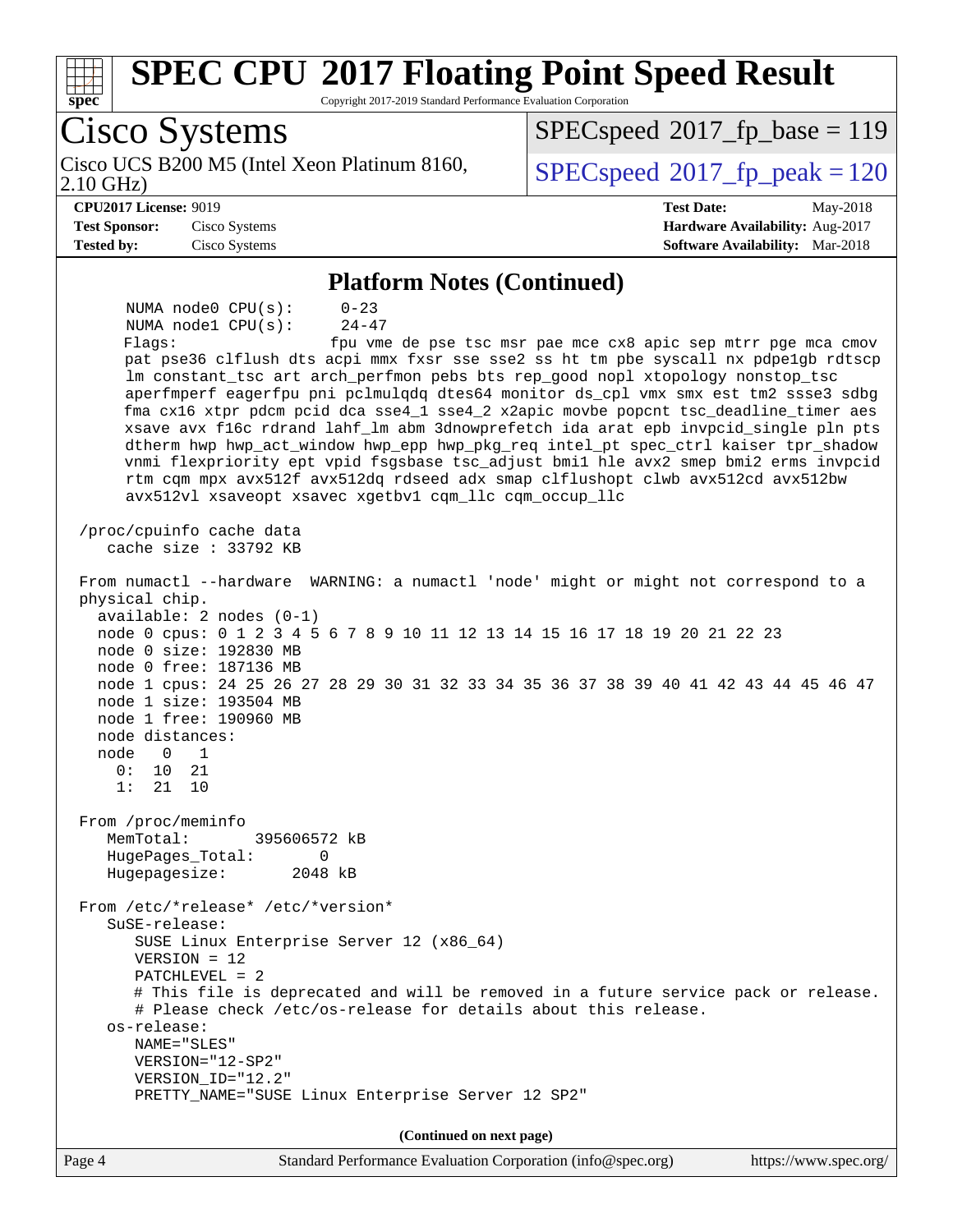| Cisco Systems<br>Cisco UCS B200 M5 (Intel Xeon Platinum 8160,<br>$2.10$ GHz)<br><b>CPU2017 License: 9019</b><br><b>Test Date:</b><br>May-2018<br><b>Test Sponsor:</b><br>Hardware Availability: Aug-2017<br>Cisco Systems<br><b>Tested by:</b><br>Cisco Systems<br>Software Availability: Mar-2018<br><b>Platform Notes (Continued)</b><br>NUMA node0 CPU(s):<br>$0 - 23$<br>$24 - 47$<br>NUMA nodel CPU(s):<br>fpu vme de pse tsc msr pae mce cx8 apic sep mtrr pge mca cmov<br>Flags:<br>pat pse36 clflush dts acpi mmx fxsr sse sse2 ss ht tm pbe syscall nx pdpe1gb rdtscp<br>lm constant_tsc art arch_perfmon pebs bts rep_good nopl xtopology nonstop_tsc<br>aperfmperf eagerfpu pni pclmulqdq dtes64 monitor ds_cpl vmx smx est tm2 ssse3 sdbg<br>fma cx16 xtpr pdcm pcid dca sse4_1 sse4_2 x2apic movbe popcnt tsc_deadline_timer aes<br>xsave avx f16c rdrand lahf_lm abm 3dnowprefetch ida arat epb invpcid_single pln pts<br>dtherm hwp hwp_act_window hwp_epp hwp_pkg_req intel_pt spec_ctrl kaiser tpr_shadow<br>vnmi flexpriority ept vpid fsgsbase tsc_adjust bmil hle avx2 smep bmi2 erms invpcid<br>rtm cqm mpx avx512f avx512dq rdseed adx smap clflushopt clwb avx512cd avx512bw<br>avx512vl xsaveopt xsavec xgetbv1 cqm_llc cqm_occup_llc<br>/proc/cpuinfo cache data<br>cache size $: 33792$ KB<br>From numactl --hardware WARNING: a numactl 'node' might or might not correspond to a<br>physical chip.<br>$available: 2 nodes (0-1)$<br>node 0 cpus: 0 1 2 3 4 5 6 7 8 9 10 11 12 13 14 15 16 17 18 19 20 21 22 23<br>node 0 size: 192830 MB<br>node 0 free: 187136 MB<br>node 1 cpus: 24 25 26 27 28 29 30 31 32 33 34 35 36 37 38 39 40 41 42 43 44 45 46 47<br>node 1 size: 193504 MB<br>node 1 free: 190960 MB<br>node distances:<br>node<br>0<br>1<br>0 :<br>10<br>21<br>1:<br>21<br>10<br>From /proc/meminfo<br>MemTotal:<br>395606572 kB<br>HugePages_Total:<br>0<br>Hugepagesize:<br>2048 kB<br>From /etc/*release* /etc/*version*<br>SuSE-release:<br>SUSE Linux Enterprise Server 12 (x86_64)<br>$VERSION = 12$<br>$PATCHLEVEL = 2$<br># This file is deprecated and will be removed in a future service pack or release.<br># Please check /etc/os-release for details about this release.<br>os-release:<br>NAME="SLES"<br>VERSION="12-SP2"<br>VERSION_ID="12.2"<br>PRETTY_NAME="SUSE Linux Enterprise Server 12 SP2"<br>(Continued on next page)<br>Page 4<br>Standard Performance Evaluation Corporation (info@spec.org) | <b>SPEC CPU®2017 Floating Point Speed Result</b><br>spec<br>Copyright 2017-2019 Standard Performance Evaluation Corporation |                                          |
|----------------------------------------------------------------------------------------------------------------------------------------------------------------------------------------------------------------------------------------------------------------------------------------------------------------------------------------------------------------------------------------------------------------------------------------------------------------------------------------------------------------------------------------------------------------------------------------------------------------------------------------------------------------------------------------------------------------------------------------------------------------------------------------------------------------------------------------------------------------------------------------------------------------------------------------------------------------------------------------------------------------------------------------------------------------------------------------------------------------------------------------------------------------------------------------------------------------------------------------------------------------------------------------------------------------------------------------------------------------------------------------------------------------------------------------------------------------------------------------------------------------------------------------------------------------------------------------------------------------------------------------------------------------------------------------------------------------------------------------------------------------------------------------------------------------------------------------------------------------------------------------------------------------------------------------------------------------------------------------------------------------------------------------------------------------------------------------------------------------------------------------------------------------------------------------------------------------------------------------------------------------------------------------------------------------------------------------------------------------------------------------------------------------------------------------------------------------|-----------------------------------------------------------------------------------------------------------------------------|------------------------------------------|
|                                                                                                                                                                                                                                                                                                                                                                                                                                                                                                                                                                                                                                                                                                                                                                                                                                                                                                                                                                                                                                                                                                                                                                                                                                                                                                                                                                                                                                                                                                                                                                                                                                                                                                                                                                                                                                                                                                                                                                                                                                                                                                                                                                                                                                                                                                                                                                                                                                                                |                                                                                                                             | $SPEC speed^{\circ}2017\_fp\_base = 119$ |
|                                                                                                                                                                                                                                                                                                                                                                                                                                                                                                                                                                                                                                                                                                                                                                                                                                                                                                                                                                                                                                                                                                                                                                                                                                                                                                                                                                                                                                                                                                                                                                                                                                                                                                                                                                                                                                                                                                                                                                                                                                                                                                                                                                                                                                                                                                                                                                                                                                                                |                                                                                                                             | $SPEC speed^{\circ}2017$ fp peak = 120   |
|                                                                                                                                                                                                                                                                                                                                                                                                                                                                                                                                                                                                                                                                                                                                                                                                                                                                                                                                                                                                                                                                                                                                                                                                                                                                                                                                                                                                                                                                                                                                                                                                                                                                                                                                                                                                                                                                                                                                                                                                                                                                                                                                                                                                                                                                                                                                                                                                                                                                |                                                                                                                             |                                          |
|                                                                                                                                                                                                                                                                                                                                                                                                                                                                                                                                                                                                                                                                                                                                                                                                                                                                                                                                                                                                                                                                                                                                                                                                                                                                                                                                                                                                                                                                                                                                                                                                                                                                                                                                                                                                                                                                                                                                                                                                                                                                                                                                                                                                                                                                                                                                                                                                                                                                |                                                                                                                             |                                          |
|                                                                                                                                                                                                                                                                                                                                                                                                                                                                                                                                                                                                                                                                                                                                                                                                                                                                                                                                                                                                                                                                                                                                                                                                                                                                                                                                                                                                                                                                                                                                                                                                                                                                                                                                                                                                                                                                                                                                                                                                                                                                                                                                                                                                                                                                                                                                                                                                                                                                |                                                                                                                             |                                          |
|                                                                                                                                                                                                                                                                                                                                                                                                                                                                                                                                                                                                                                                                                                                                                                                                                                                                                                                                                                                                                                                                                                                                                                                                                                                                                                                                                                                                                                                                                                                                                                                                                                                                                                                                                                                                                                                                                                                                                                                                                                                                                                                                                                                                                                                                                                                                                                                                                                                                |                                                                                                                             |                                          |
|                                                                                                                                                                                                                                                                                                                                                                                                                                                                                                                                                                                                                                                                                                                                                                                                                                                                                                                                                                                                                                                                                                                                                                                                                                                                                                                                                                                                                                                                                                                                                                                                                                                                                                                                                                                                                                                                                                                                                                                                                                                                                                                                                                                                                                                                                                                                                                                                                                                                |                                                                                                                             |                                          |
|                                                                                                                                                                                                                                                                                                                                                                                                                                                                                                                                                                                                                                                                                                                                                                                                                                                                                                                                                                                                                                                                                                                                                                                                                                                                                                                                                                                                                                                                                                                                                                                                                                                                                                                                                                                                                                                                                                                                                                                                                                                                                                                                                                                                                                                                                                                                                                                                                                                                |                                                                                                                             |                                          |
|                                                                                                                                                                                                                                                                                                                                                                                                                                                                                                                                                                                                                                                                                                                                                                                                                                                                                                                                                                                                                                                                                                                                                                                                                                                                                                                                                                                                                                                                                                                                                                                                                                                                                                                                                                                                                                                                                                                                                                                                                                                                                                                                                                                                                                                                                                                                                                                                                                                                |                                                                                                                             |                                          |
|                                                                                                                                                                                                                                                                                                                                                                                                                                                                                                                                                                                                                                                                                                                                                                                                                                                                                                                                                                                                                                                                                                                                                                                                                                                                                                                                                                                                                                                                                                                                                                                                                                                                                                                                                                                                                                                                                                                                                                                                                                                                                                                                                                                                                                                                                                                                                                                                                                                                |                                                                                                                             |                                          |
|                                                                                                                                                                                                                                                                                                                                                                                                                                                                                                                                                                                                                                                                                                                                                                                                                                                                                                                                                                                                                                                                                                                                                                                                                                                                                                                                                                                                                                                                                                                                                                                                                                                                                                                                                                                                                                                                                                                                                                                                                                                                                                                                                                                                                                                                                                                                                                                                                                                                |                                                                                                                             | https://www.spec.org/                    |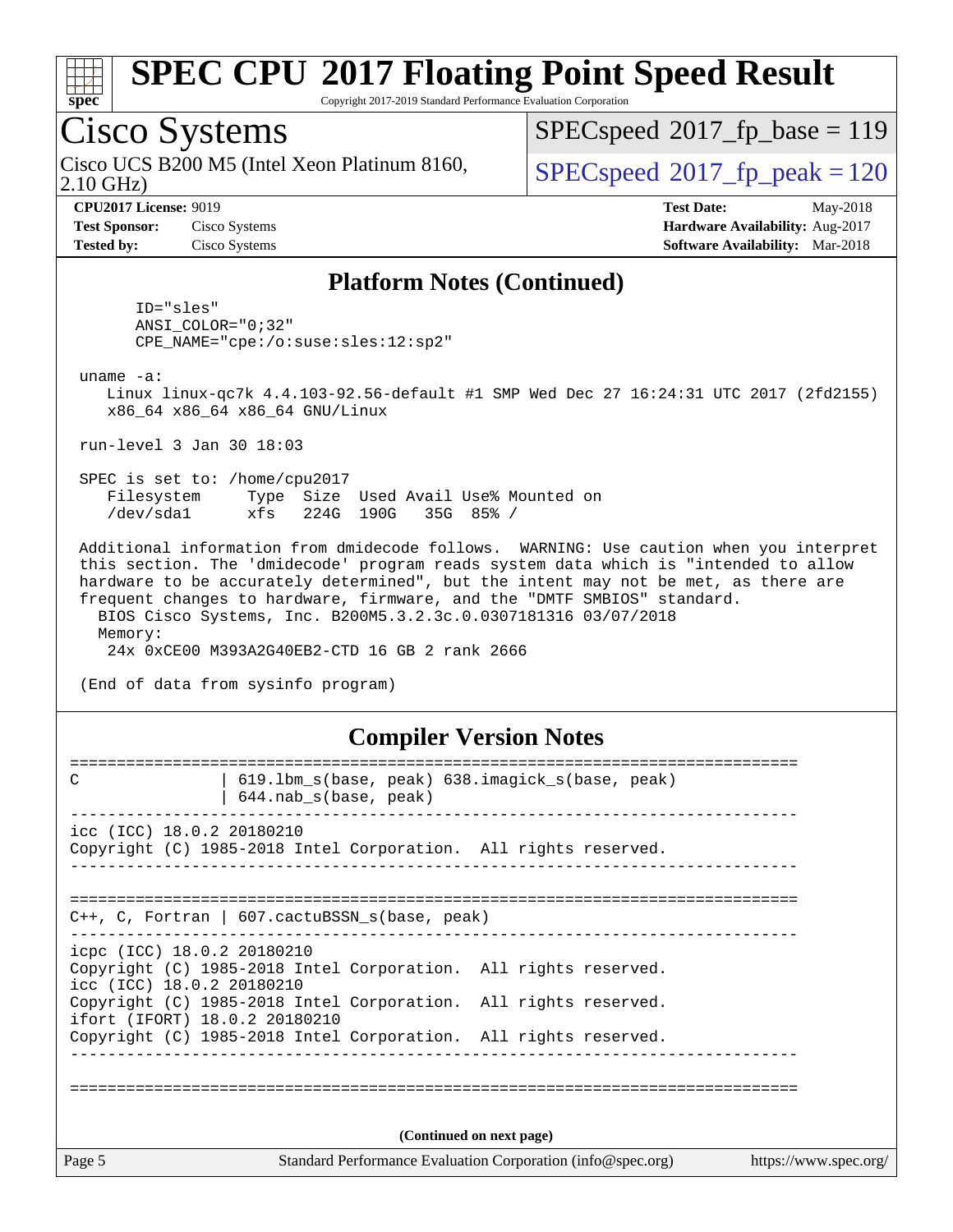

Copyright 2017-2019 Standard Performance Evaluation Corporation

## Cisco Systems

2.10 GHz) Cisco UCS B200 M5 (Intel Xeon Platinum 8160,  $\vert$  [SPECspeed](http://www.spec.org/auto/cpu2017/Docs/result-fields.html#SPECspeed2017fppeak)®2017 fp\_peak = 120

[SPECspeed](http://www.spec.org/auto/cpu2017/Docs/result-fields.html#SPECspeed2017fpbase)<sup>®</sup>2017 fp base = 119

**[Test Sponsor:](http://www.spec.org/auto/cpu2017/Docs/result-fields.html#TestSponsor)** Cisco Systems **[Hardware Availability:](http://www.spec.org/auto/cpu2017/Docs/result-fields.html#HardwareAvailability)** Aug-2017 **[Tested by:](http://www.spec.org/auto/cpu2017/Docs/result-fields.html#Testedby)** Cisco Systems **[Software Availability:](http://www.spec.org/auto/cpu2017/Docs/result-fields.html#SoftwareAvailability)** Mar-2018

**[CPU2017 License:](http://www.spec.org/auto/cpu2017/Docs/result-fields.html#CPU2017License)** 9019 **[Test Date:](http://www.spec.org/auto/cpu2017/Docs/result-fields.html#TestDate)** May-2018

#### **[Platform Notes \(Continued\)](http://www.spec.org/auto/cpu2017/Docs/result-fields.html#PlatformNotes)**

 ID="sles" ANSI\_COLOR="0;32" CPE\_NAME="cpe:/o:suse:sles:12:sp2"

uname -a:

 Linux linux-qc7k 4.4.103-92.56-default #1 SMP Wed Dec 27 16:24:31 UTC 2017 (2fd2155) x86\_64 x86\_64 x86\_64 GNU/Linux

run-level 3 Jan 30 18:03

 SPEC is set to: /home/cpu2017 Filesystem Type Size Used Avail Use% Mounted on /dev/sda1 xfs 224G 190G 35G 85% /

 Additional information from dmidecode follows. WARNING: Use caution when you interpret this section. The 'dmidecode' program reads system data which is "intended to allow hardware to be accurately determined", but the intent may not be met, as there are frequent changes to hardware, firmware, and the "DMTF SMBIOS" standard. BIOS Cisco Systems, Inc. B200M5.3.2.3c.0.0307181316 03/07/2018 Memory:

24x 0xCE00 M393A2G40EB2-CTD 16 GB 2 rank 2666

(End of data from sysinfo program)

#### **[Compiler Version Notes](http://www.spec.org/auto/cpu2017/Docs/result-fields.html#CompilerVersionNotes)**

| 619.1bm_s(base, peak) 638.imagick_s(base, peak)<br>C<br>$644.nab_s(base, peak)$                                            |                                                             |                       |
|----------------------------------------------------------------------------------------------------------------------------|-------------------------------------------------------------|-----------------------|
| icc (ICC) 18.0.2 20180210<br>Copyright (C) 1985-2018 Intel Corporation. All rights reserved.                               |                                                             |                       |
| C++, C, Fortran   607. cactuBSSN_s(base, peak)                                                                             |                                                             |                       |
| icpc (ICC) 18.0.2 20180210<br>Copyright (C) 1985-2018 Intel Corporation. All rights reserved.<br>icc (ICC) 18.0.2 20180210 |                                                             |                       |
| Copyright (C) 1985-2018 Intel Corporation. All rights reserved.<br>ifort (IFORT) 18.0.2 20180210                           |                                                             |                       |
| Copyright (C) 1985-2018 Intel Corporation. All rights reserved.                                                            |                                                             |                       |
|                                                                                                                            |                                                             |                       |
|                                                                                                                            | (Continued on next page)                                    |                       |
| Page 5                                                                                                                     | Standard Performance Evaluation Corporation (info@spec.org) | https://www.spec.org/ |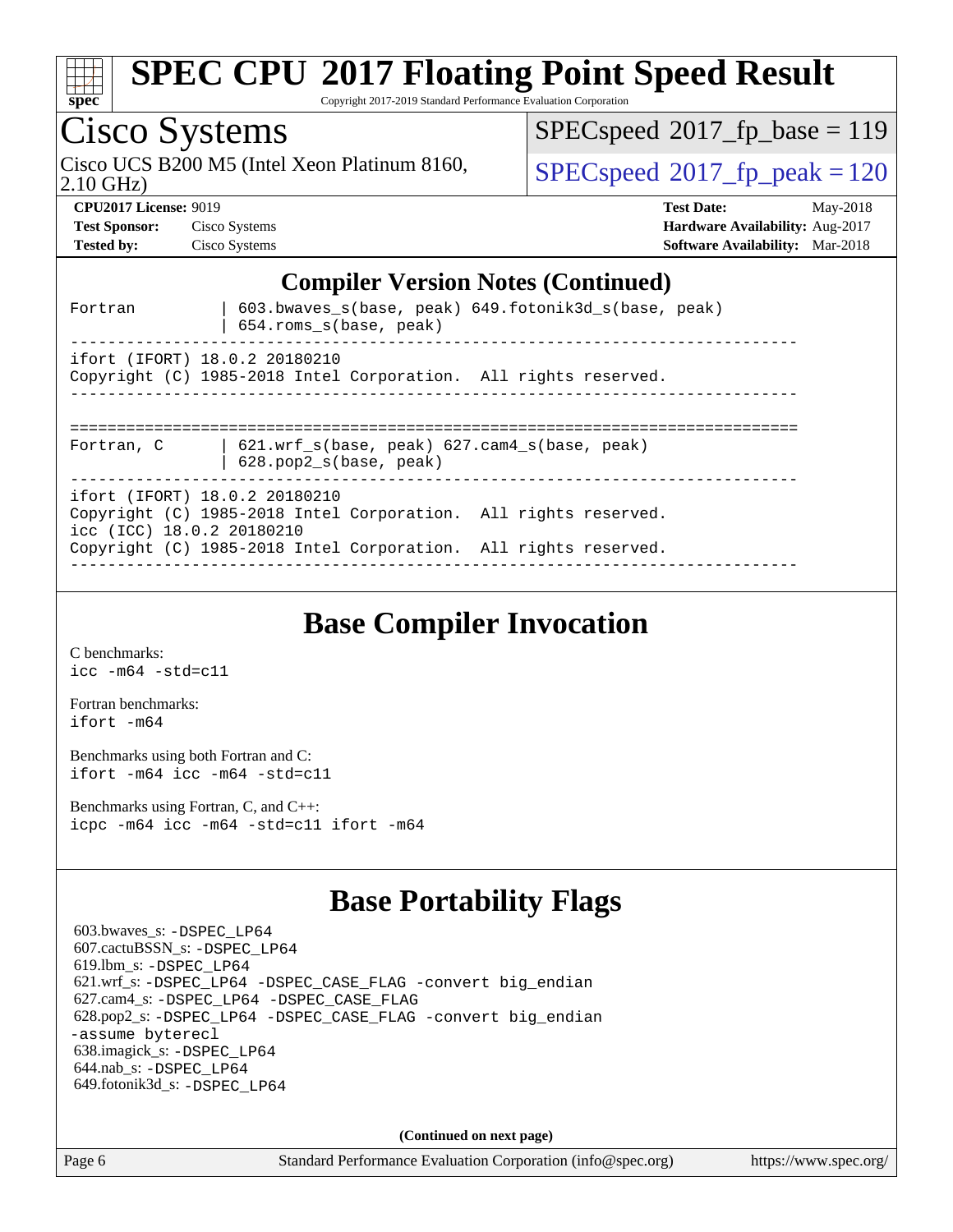| <b>SPEC CPU®2017 Floating Point Speed Result</b><br>Copyright 2017-2019 Standard Performance Evaluation Corporation<br>$spec^*$                                                                  |                                                                                                     |  |  |  |
|--------------------------------------------------------------------------------------------------------------------------------------------------------------------------------------------------|-----------------------------------------------------------------------------------------------------|--|--|--|
| Cisco Systems                                                                                                                                                                                    | $SPEC speed^{\circ}2017$ fp base = 119                                                              |  |  |  |
| Cisco UCS B200 M5 (Intel Xeon Platinum 8160,<br>$2.10$ GHz)                                                                                                                                      | $SPEC speed^{\circ}2017$ _fp_peak = 120                                                             |  |  |  |
| <b>CPU2017 License: 9019</b><br><b>Test Sponsor:</b><br>Cisco Systems<br>Cisco Systems<br><b>Tested by:</b>                                                                                      | <b>Test Date:</b><br>May-2018<br>Hardware Availability: Aug-2017<br>Software Availability: Mar-2018 |  |  |  |
| <b>Compiler Version Notes (Continued)</b><br>603.bwaves_s(base, peak) 649.fotonik3d_s(base, peak)<br>Fortran                                                                                     |                                                                                                     |  |  |  |
| 654.roms_s(base, peak)                                                                                                                                                                           |                                                                                                     |  |  |  |
| ifort (IFORT) 18.0.2 20180210<br>Copyright (C) 1985-2018 Intel Corporation. All rights reserved.                                                                                                 |                                                                                                     |  |  |  |
| $621.wrf_s(base, peak)$ $627.cam4_s(base, peak)$<br>Fortran, C<br>628.pop2_s(base, peak)                                                                                                         |                                                                                                     |  |  |  |
| ifort (IFORT) 18.0.2 20180210<br>Copyright (C) 1985-2018 Intel Corporation. All rights reserved.<br>icc (ICC) 18.0.2 20180210<br>Copyright (C) 1985-2018 Intel Corporation. All rights reserved. |                                                                                                     |  |  |  |
|                                                                                                                                                                                                  |                                                                                                     |  |  |  |

### **[Base Compiler Invocation](http://www.spec.org/auto/cpu2017/Docs/result-fields.html#BaseCompilerInvocation)**

[C benchmarks](http://www.spec.org/auto/cpu2017/Docs/result-fields.html#Cbenchmarks): [icc -m64 -std=c11](http://www.spec.org/cpu2017/results/res2018q2/cpu2017-20180515-05668.flags.html#user_CCbase_intel_icc_64bit_c11_33ee0cdaae7deeeab2a9725423ba97205ce30f63b9926c2519791662299b76a0318f32ddfffdc46587804de3178b4f9328c46fa7c2b0cd779d7a61945c91cd35)

[Fortran benchmarks](http://www.spec.org/auto/cpu2017/Docs/result-fields.html#Fortranbenchmarks): [ifort -m64](http://www.spec.org/cpu2017/results/res2018q2/cpu2017-20180515-05668.flags.html#user_FCbase_intel_ifort_64bit_24f2bb282fbaeffd6157abe4f878425411749daecae9a33200eee2bee2fe76f3b89351d69a8130dd5949958ce389cf37ff59a95e7a40d588e8d3a57e0c3fd751)

[Benchmarks using both Fortran and C](http://www.spec.org/auto/cpu2017/Docs/result-fields.html#BenchmarksusingbothFortranandC): [ifort -m64](http://www.spec.org/cpu2017/results/res2018q2/cpu2017-20180515-05668.flags.html#user_CC_FCbase_intel_ifort_64bit_24f2bb282fbaeffd6157abe4f878425411749daecae9a33200eee2bee2fe76f3b89351d69a8130dd5949958ce389cf37ff59a95e7a40d588e8d3a57e0c3fd751) [icc -m64 -std=c11](http://www.spec.org/cpu2017/results/res2018q2/cpu2017-20180515-05668.flags.html#user_CC_FCbase_intel_icc_64bit_c11_33ee0cdaae7deeeab2a9725423ba97205ce30f63b9926c2519791662299b76a0318f32ddfffdc46587804de3178b4f9328c46fa7c2b0cd779d7a61945c91cd35)

[Benchmarks using Fortran, C, and C++:](http://www.spec.org/auto/cpu2017/Docs/result-fields.html#BenchmarksusingFortranCandCXX) [icpc -m64](http://www.spec.org/cpu2017/results/res2018q2/cpu2017-20180515-05668.flags.html#user_CC_CXX_FCbase_intel_icpc_64bit_4ecb2543ae3f1412ef961e0650ca070fec7b7afdcd6ed48761b84423119d1bf6bdf5cad15b44d48e7256388bc77273b966e5eb805aefd121eb22e9299b2ec9d9) [icc -m64 -std=c11](http://www.spec.org/cpu2017/results/res2018q2/cpu2017-20180515-05668.flags.html#user_CC_CXX_FCbase_intel_icc_64bit_c11_33ee0cdaae7deeeab2a9725423ba97205ce30f63b9926c2519791662299b76a0318f32ddfffdc46587804de3178b4f9328c46fa7c2b0cd779d7a61945c91cd35) [ifort -m64](http://www.spec.org/cpu2017/results/res2018q2/cpu2017-20180515-05668.flags.html#user_CC_CXX_FCbase_intel_ifort_64bit_24f2bb282fbaeffd6157abe4f878425411749daecae9a33200eee2bee2fe76f3b89351d69a8130dd5949958ce389cf37ff59a95e7a40d588e8d3a57e0c3fd751)

### **[Base Portability Flags](http://www.spec.org/auto/cpu2017/Docs/result-fields.html#BasePortabilityFlags)**

 603.bwaves\_s: [-DSPEC\\_LP64](http://www.spec.org/cpu2017/results/res2018q2/cpu2017-20180515-05668.flags.html#suite_basePORTABILITY603_bwaves_s_DSPEC_LP64) 607.cactuBSSN\_s: [-DSPEC\\_LP64](http://www.spec.org/cpu2017/results/res2018q2/cpu2017-20180515-05668.flags.html#suite_basePORTABILITY607_cactuBSSN_s_DSPEC_LP64) 619.lbm\_s: [-DSPEC\\_LP64](http://www.spec.org/cpu2017/results/res2018q2/cpu2017-20180515-05668.flags.html#suite_basePORTABILITY619_lbm_s_DSPEC_LP64) 621.wrf\_s: [-DSPEC\\_LP64](http://www.spec.org/cpu2017/results/res2018q2/cpu2017-20180515-05668.flags.html#suite_basePORTABILITY621_wrf_s_DSPEC_LP64) [-DSPEC\\_CASE\\_FLAG](http://www.spec.org/cpu2017/results/res2018q2/cpu2017-20180515-05668.flags.html#b621.wrf_s_baseCPORTABILITY_DSPEC_CASE_FLAG) [-convert big\\_endian](http://www.spec.org/cpu2017/results/res2018q2/cpu2017-20180515-05668.flags.html#user_baseFPORTABILITY621_wrf_s_convert_big_endian_c3194028bc08c63ac5d04de18c48ce6d347e4e562e8892b8bdbdc0214820426deb8554edfa529a3fb25a586e65a3d812c835984020483e7e73212c4d31a38223) 627.cam4\_s: [-DSPEC\\_LP64](http://www.spec.org/cpu2017/results/res2018q2/cpu2017-20180515-05668.flags.html#suite_basePORTABILITY627_cam4_s_DSPEC_LP64) [-DSPEC\\_CASE\\_FLAG](http://www.spec.org/cpu2017/results/res2018q2/cpu2017-20180515-05668.flags.html#b627.cam4_s_baseCPORTABILITY_DSPEC_CASE_FLAG) 628.pop2\_s: [-DSPEC\\_LP64](http://www.spec.org/cpu2017/results/res2018q2/cpu2017-20180515-05668.flags.html#suite_basePORTABILITY628_pop2_s_DSPEC_LP64) [-DSPEC\\_CASE\\_FLAG](http://www.spec.org/cpu2017/results/res2018q2/cpu2017-20180515-05668.flags.html#b628.pop2_s_baseCPORTABILITY_DSPEC_CASE_FLAG) [-convert big\\_endian](http://www.spec.org/cpu2017/results/res2018q2/cpu2017-20180515-05668.flags.html#user_baseFPORTABILITY628_pop2_s_convert_big_endian_c3194028bc08c63ac5d04de18c48ce6d347e4e562e8892b8bdbdc0214820426deb8554edfa529a3fb25a586e65a3d812c835984020483e7e73212c4d31a38223) [-assume byterecl](http://www.spec.org/cpu2017/results/res2018q2/cpu2017-20180515-05668.flags.html#user_baseFPORTABILITY628_pop2_s_assume_byterecl_7e47d18b9513cf18525430bbf0f2177aa9bf368bc7a059c09b2c06a34b53bd3447c950d3f8d6c70e3faf3a05c8557d66a5798b567902e8849adc142926523472) 638.imagick\_s: [-DSPEC\\_LP64](http://www.spec.org/cpu2017/results/res2018q2/cpu2017-20180515-05668.flags.html#suite_basePORTABILITY638_imagick_s_DSPEC_LP64) 644.nab\_s: [-DSPEC\\_LP64](http://www.spec.org/cpu2017/results/res2018q2/cpu2017-20180515-05668.flags.html#suite_basePORTABILITY644_nab_s_DSPEC_LP64) 649.fotonik3d\_s: [-DSPEC\\_LP64](http://www.spec.org/cpu2017/results/res2018q2/cpu2017-20180515-05668.flags.html#suite_basePORTABILITY649_fotonik3d_s_DSPEC_LP64)

**(Continued on next page)**

Page 6 Standard Performance Evaluation Corporation [\(info@spec.org\)](mailto:info@spec.org) <https://www.spec.org/>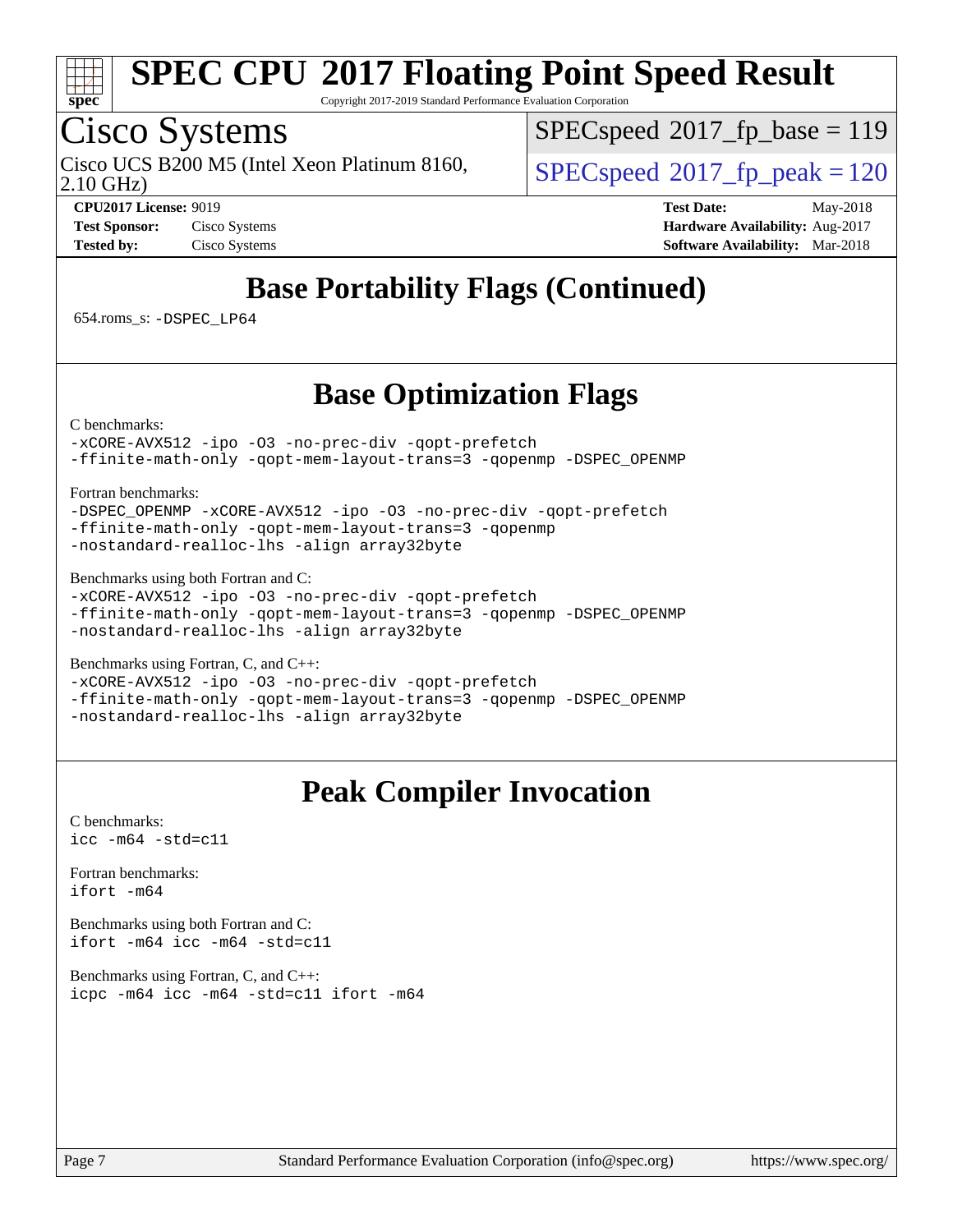

Copyright 2017-2019 Standard Performance Evaluation Corporation

## Cisco Systems

2.10 GHz) Cisco UCS B200 M5 (Intel Xeon Platinum 8160,  $\vert$  [SPECspeed](http://www.spec.org/auto/cpu2017/Docs/result-fields.html#SPECspeed2017fppeak)®2017 fp\_peak = 120

[SPECspeed](http://www.spec.org/auto/cpu2017/Docs/result-fields.html#SPECspeed2017fpbase)<sup>®</sup>2017 fp base = 119

**[CPU2017 License:](http://www.spec.org/auto/cpu2017/Docs/result-fields.html#CPU2017License)** 9019 **[Test Date:](http://www.spec.org/auto/cpu2017/Docs/result-fields.html#TestDate)** May-2018 **[Test Sponsor:](http://www.spec.org/auto/cpu2017/Docs/result-fields.html#TestSponsor)** Cisco Systems **[Hardware Availability:](http://www.spec.org/auto/cpu2017/Docs/result-fields.html#HardwareAvailability)** Aug-2017 **[Tested by:](http://www.spec.org/auto/cpu2017/Docs/result-fields.html#Testedby)** Cisco Systems **[Software Availability:](http://www.spec.org/auto/cpu2017/Docs/result-fields.html#SoftwareAvailability)** Mar-2018

### **[Base Portability Flags \(Continued\)](http://www.spec.org/auto/cpu2017/Docs/result-fields.html#BasePortabilityFlags)**

654.roms\_s: [-DSPEC\\_LP64](http://www.spec.org/cpu2017/results/res2018q2/cpu2017-20180515-05668.flags.html#suite_basePORTABILITY654_roms_s_DSPEC_LP64)

### **[Base Optimization Flags](http://www.spec.org/auto/cpu2017/Docs/result-fields.html#BaseOptimizationFlags)**

[C benchmarks](http://www.spec.org/auto/cpu2017/Docs/result-fields.html#Cbenchmarks):

[-xCORE-AVX512](http://www.spec.org/cpu2017/results/res2018q2/cpu2017-20180515-05668.flags.html#user_CCbase_f-xCORE-AVX512) [-ipo](http://www.spec.org/cpu2017/results/res2018q2/cpu2017-20180515-05668.flags.html#user_CCbase_f-ipo) [-O3](http://www.spec.org/cpu2017/results/res2018q2/cpu2017-20180515-05668.flags.html#user_CCbase_f-O3) [-no-prec-div](http://www.spec.org/cpu2017/results/res2018q2/cpu2017-20180515-05668.flags.html#user_CCbase_f-no-prec-div) [-qopt-prefetch](http://www.spec.org/cpu2017/results/res2018q2/cpu2017-20180515-05668.flags.html#user_CCbase_f-qopt-prefetch) [-ffinite-math-only](http://www.spec.org/cpu2017/results/res2018q2/cpu2017-20180515-05668.flags.html#user_CCbase_f_finite_math_only_cb91587bd2077682c4b38af759c288ed7c732db004271a9512da14a4f8007909a5f1427ecbf1a0fb78ff2a814402c6114ac565ca162485bbcae155b5e4258871) [-qopt-mem-layout-trans=3](http://www.spec.org/cpu2017/results/res2018q2/cpu2017-20180515-05668.flags.html#user_CCbase_f-qopt-mem-layout-trans_de80db37974c74b1f0e20d883f0b675c88c3b01e9d123adea9b28688d64333345fb62bc4a798493513fdb68f60282f9a726aa07f478b2f7113531aecce732043) [-qopenmp](http://www.spec.org/cpu2017/results/res2018q2/cpu2017-20180515-05668.flags.html#user_CCbase_qopenmp_16be0c44f24f464004c6784a7acb94aca937f053568ce72f94b139a11c7c168634a55f6653758ddd83bcf7b8463e8028bb0b48b77bcddc6b78d5d95bb1df2967) [-DSPEC\\_OPENMP](http://www.spec.org/cpu2017/results/res2018q2/cpu2017-20180515-05668.flags.html#suite_CCbase_DSPEC_OPENMP)

[Fortran benchmarks](http://www.spec.org/auto/cpu2017/Docs/result-fields.html#Fortranbenchmarks):

[-DSPEC\\_OPENMP](http://www.spec.org/cpu2017/results/res2018q2/cpu2017-20180515-05668.flags.html#suite_FCbase_DSPEC_OPENMP) [-xCORE-AVX512](http://www.spec.org/cpu2017/results/res2018q2/cpu2017-20180515-05668.flags.html#user_FCbase_f-xCORE-AVX512) [-ipo](http://www.spec.org/cpu2017/results/res2018q2/cpu2017-20180515-05668.flags.html#user_FCbase_f-ipo) [-O3](http://www.spec.org/cpu2017/results/res2018q2/cpu2017-20180515-05668.flags.html#user_FCbase_f-O3) [-no-prec-div](http://www.spec.org/cpu2017/results/res2018q2/cpu2017-20180515-05668.flags.html#user_FCbase_f-no-prec-div) [-qopt-prefetch](http://www.spec.org/cpu2017/results/res2018q2/cpu2017-20180515-05668.flags.html#user_FCbase_f-qopt-prefetch) [-ffinite-math-only](http://www.spec.org/cpu2017/results/res2018q2/cpu2017-20180515-05668.flags.html#user_FCbase_f_finite_math_only_cb91587bd2077682c4b38af759c288ed7c732db004271a9512da14a4f8007909a5f1427ecbf1a0fb78ff2a814402c6114ac565ca162485bbcae155b5e4258871) [-qopt-mem-layout-trans=3](http://www.spec.org/cpu2017/results/res2018q2/cpu2017-20180515-05668.flags.html#user_FCbase_f-qopt-mem-layout-trans_de80db37974c74b1f0e20d883f0b675c88c3b01e9d123adea9b28688d64333345fb62bc4a798493513fdb68f60282f9a726aa07f478b2f7113531aecce732043) [-qopenmp](http://www.spec.org/cpu2017/results/res2018q2/cpu2017-20180515-05668.flags.html#user_FCbase_qopenmp_16be0c44f24f464004c6784a7acb94aca937f053568ce72f94b139a11c7c168634a55f6653758ddd83bcf7b8463e8028bb0b48b77bcddc6b78d5d95bb1df2967) [-nostandard-realloc-lhs](http://www.spec.org/cpu2017/results/res2018q2/cpu2017-20180515-05668.flags.html#user_FCbase_f_2003_std_realloc_82b4557e90729c0f113870c07e44d33d6f5a304b4f63d4c15d2d0f1fab99f5daaed73bdb9275d9ae411527f28b936061aa8b9c8f2d63842963b95c9dd6426b8a) [-align array32byte](http://www.spec.org/cpu2017/results/res2018q2/cpu2017-20180515-05668.flags.html#user_FCbase_align_array32byte_b982fe038af199962ba9a80c053b8342c548c85b40b8e86eb3cc33dee0d7986a4af373ac2d51c3f7cf710a18d62fdce2948f201cd044323541f22fc0fffc51b6)

[Benchmarks using both Fortran and C](http://www.spec.org/auto/cpu2017/Docs/result-fields.html#BenchmarksusingbothFortranandC):

[-xCORE-AVX512](http://www.spec.org/cpu2017/results/res2018q2/cpu2017-20180515-05668.flags.html#user_CC_FCbase_f-xCORE-AVX512) [-ipo](http://www.spec.org/cpu2017/results/res2018q2/cpu2017-20180515-05668.flags.html#user_CC_FCbase_f-ipo) [-O3](http://www.spec.org/cpu2017/results/res2018q2/cpu2017-20180515-05668.flags.html#user_CC_FCbase_f-O3) [-no-prec-div](http://www.spec.org/cpu2017/results/res2018q2/cpu2017-20180515-05668.flags.html#user_CC_FCbase_f-no-prec-div) [-qopt-prefetch](http://www.spec.org/cpu2017/results/res2018q2/cpu2017-20180515-05668.flags.html#user_CC_FCbase_f-qopt-prefetch) [-ffinite-math-only](http://www.spec.org/cpu2017/results/res2018q2/cpu2017-20180515-05668.flags.html#user_CC_FCbase_f_finite_math_only_cb91587bd2077682c4b38af759c288ed7c732db004271a9512da14a4f8007909a5f1427ecbf1a0fb78ff2a814402c6114ac565ca162485bbcae155b5e4258871) [-qopt-mem-layout-trans=3](http://www.spec.org/cpu2017/results/res2018q2/cpu2017-20180515-05668.flags.html#user_CC_FCbase_f-qopt-mem-layout-trans_de80db37974c74b1f0e20d883f0b675c88c3b01e9d123adea9b28688d64333345fb62bc4a798493513fdb68f60282f9a726aa07f478b2f7113531aecce732043) [-qopenmp](http://www.spec.org/cpu2017/results/res2018q2/cpu2017-20180515-05668.flags.html#user_CC_FCbase_qopenmp_16be0c44f24f464004c6784a7acb94aca937f053568ce72f94b139a11c7c168634a55f6653758ddd83bcf7b8463e8028bb0b48b77bcddc6b78d5d95bb1df2967) [-DSPEC\\_OPENMP](http://www.spec.org/cpu2017/results/res2018q2/cpu2017-20180515-05668.flags.html#suite_CC_FCbase_DSPEC_OPENMP) [-nostandard-realloc-lhs](http://www.spec.org/cpu2017/results/res2018q2/cpu2017-20180515-05668.flags.html#user_CC_FCbase_f_2003_std_realloc_82b4557e90729c0f113870c07e44d33d6f5a304b4f63d4c15d2d0f1fab99f5daaed73bdb9275d9ae411527f28b936061aa8b9c8f2d63842963b95c9dd6426b8a) [-align array32byte](http://www.spec.org/cpu2017/results/res2018q2/cpu2017-20180515-05668.flags.html#user_CC_FCbase_align_array32byte_b982fe038af199962ba9a80c053b8342c548c85b40b8e86eb3cc33dee0d7986a4af373ac2d51c3f7cf710a18d62fdce2948f201cd044323541f22fc0fffc51b6)

[Benchmarks using Fortran, C, and C++:](http://www.spec.org/auto/cpu2017/Docs/result-fields.html#BenchmarksusingFortranCandCXX)

[-xCORE-AVX512](http://www.spec.org/cpu2017/results/res2018q2/cpu2017-20180515-05668.flags.html#user_CC_CXX_FCbase_f-xCORE-AVX512) [-ipo](http://www.spec.org/cpu2017/results/res2018q2/cpu2017-20180515-05668.flags.html#user_CC_CXX_FCbase_f-ipo) [-O3](http://www.spec.org/cpu2017/results/res2018q2/cpu2017-20180515-05668.flags.html#user_CC_CXX_FCbase_f-O3) [-no-prec-div](http://www.spec.org/cpu2017/results/res2018q2/cpu2017-20180515-05668.flags.html#user_CC_CXX_FCbase_f-no-prec-div) [-qopt-prefetch](http://www.spec.org/cpu2017/results/res2018q2/cpu2017-20180515-05668.flags.html#user_CC_CXX_FCbase_f-qopt-prefetch) [-ffinite-math-only](http://www.spec.org/cpu2017/results/res2018q2/cpu2017-20180515-05668.flags.html#user_CC_CXX_FCbase_f_finite_math_only_cb91587bd2077682c4b38af759c288ed7c732db004271a9512da14a4f8007909a5f1427ecbf1a0fb78ff2a814402c6114ac565ca162485bbcae155b5e4258871) [-qopt-mem-layout-trans=3](http://www.spec.org/cpu2017/results/res2018q2/cpu2017-20180515-05668.flags.html#user_CC_CXX_FCbase_f-qopt-mem-layout-trans_de80db37974c74b1f0e20d883f0b675c88c3b01e9d123adea9b28688d64333345fb62bc4a798493513fdb68f60282f9a726aa07f478b2f7113531aecce732043) [-qopenmp](http://www.spec.org/cpu2017/results/res2018q2/cpu2017-20180515-05668.flags.html#user_CC_CXX_FCbase_qopenmp_16be0c44f24f464004c6784a7acb94aca937f053568ce72f94b139a11c7c168634a55f6653758ddd83bcf7b8463e8028bb0b48b77bcddc6b78d5d95bb1df2967) [-DSPEC\\_OPENMP](http://www.spec.org/cpu2017/results/res2018q2/cpu2017-20180515-05668.flags.html#suite_CC_CXX_FCbase_DSPEC_OPENMP) [-nostandard-realloc-lhs](http://www.spec.org/cpu2017/results/res2018q2/cpu2017-20180515-05668.flags.html#user_CC_CXX_FCbase_f_2003_std_realloc_82b4557e90729c0f113870c07e44d33d6f5a304b4f63d4c15d2d0f1fab99f5daaed73bdb9275d9ae411527f28b936061aa8b9c8f2d63842963b95c9dd6426b8a) [-align array32byte](http://www.spec.org/cpu2017/results/res2018q2/cpu2017-20180515-05668.flags.html#user_CC_CXX_FCbase_align_array32byte_b982fe038af199962ba9a80c053b8342c548c85b40b8e86eb3cc33dee0d7986a4af373ac2d51c3f7cf710a18d62fdce2948f201cd044323541f22fc0fffc51b6)

### **[Peak Compiler Invocation](http://www.spec.org/auto/cpu2017/Docs/result-fields.html#PeakCompilerInvocation)**

[C benchmarks](http://www.spec.org/auto/cpu2017/Docs/result-fields.html#Cbenchmarks): [icc -m64 -std=c11](http://www.spec.org/cpu2017/results/res2018q2/cpu2017-20180515-05668.flags.html#user_CCpeak_intel_icc_64bit_c11_33ee0cdaae7deeeab2a9725423ba97205ce30f63b9926c2519791662299b76a0318f32ddfffdc46587804de3178b4f9328c46fa7c2b0cd779d7a61945c91cd35)

[Fortran benchmarks](http://www.spec.org/auto/cpu2017/Docs/result-fields.html#Fortranbenchmarks): [ifort -m64](http://www.spec.org/cpu2017/results/res2018q2/cpu2017-20180515-05668.flags.html#user_FCpeak_intel_ifort_64bit_24f2bb282fbaeffd6157abe4f878425411749daecae9a33200eee2bee2fe76f3b89351d69a8130dd5949958ce389cf37ff59a95e7a40d588e8d3a57e0c3fd751)

[Benchmarks using both Fortran and C](http://www.spec.org/auto/cpu2017/Docs/result-fields.html#BenchmarksusingbothFortranandC): [ifort -m64](http://www.spec.org/cpu2017/results/res2018q2/cpu2017-20180515-05668.flags.html#user_CC_FCpeak_intel_ifort_64bit_24f2bb282fbaeffd6157abe4f878425411749daecae9a33200eee2bee2fe76f3b89351d69a8130dd5949958ce389cf37ff59a95e7a40d588e8d3a57e0c3fd751) [icc -m64 -std=c11](http://www.spec.org/cpu2017/results/res2018q2/cpu2017-20180515-05668.flags.html#user_CC_FCpeak_intel_icc_64bit_c11_33ee0cdaae7deeeab2a9725423ba97205ce30f63b9926c2519791662299b76a0318f32ddfffdc46587804de3178b4f9328c46fa7c2b0cd779d7a61945c91cd35)

[Benchmarks using Fortran, C, and C++:](http://www.spec.org/auto/cpu2017/Docs/result-fields.html#BenchmarksusingFortranCandCXX) [icpc -m64](http://www.spec.org/cpu2017/results/res2018q2/cpu2017-20180515-05668.flags.html#user_CC_CXX_FCpeak_intel_icpc_64bit_4ecb2543ae3f1412ef961e0650ca070fec7b7afdcd6ed48761b84423119d1bf6bdf5cad15b44d48e7256388bc77273b966e5eb805aefd121eb22e9299b2ec9d9) [icc -m64 -std=c11](http://www.spec.org/cpu2017/results/res2018q2/cpu2017-20180515-05668.flags.html#user_CC_CXX_FCpeak_intel_icc_64bit_c11_33ee0cdaae7deeeab2a9725423ba97205ce30f63b9926c2519791662299b76a0318f32ddfffdc46587804de3178b4f9328c46fa7c2b0cd779d7a61945c91cd35) [ifort -m64](http://www.spec.org/cpu2017/results/res2018q2/cpu2017-20180515-05668.flags.html#user_CC_CXX_FCpeak_intel_ifort_64bit_24f2bb282fbaeffd6157abe4f878425411749daecae9a33200eee2bee2fe76f3b89351d69a8130dd5949958ce389cf37ff59a95e7a40d588e8d3a57e0c3fd751)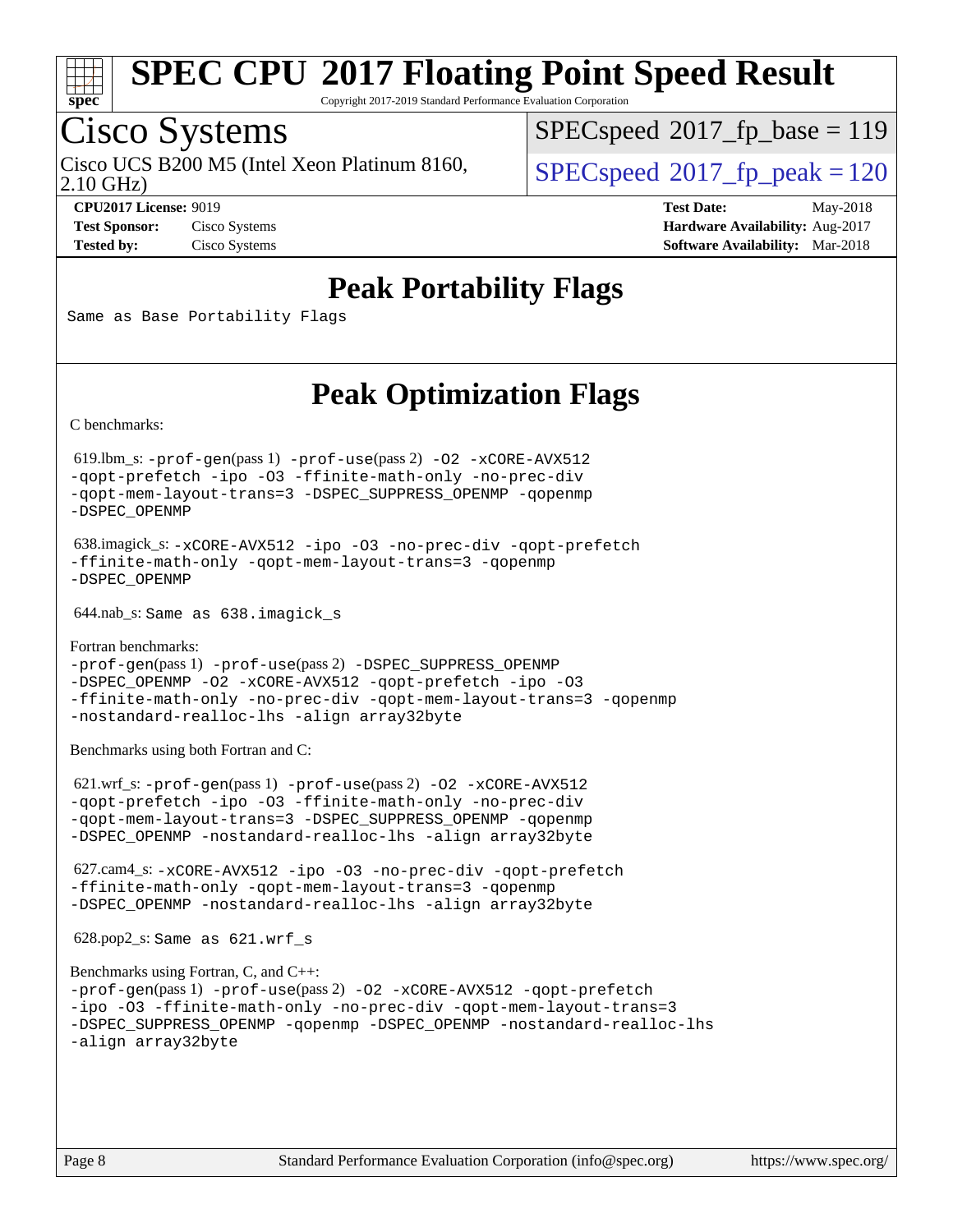

Copyright 2017-2019 Standard Performance Evaluation Corporation

# Cisco Systems

2.10 GHz) Cisco UCS B200 M5 (Intel Xeon Platinum 8160,  $\vert$  [SPECspeed](http://www.spec.org/auto/cpu2017/Docs/result-fields.html#SPECspeed2017fppeak)<sup>®</sup>2017 fp\_peak = 120

[SPECspeed](http://www.spec.org/auto/cpu2017/Docs/result-fields.html#SPECspeed2017fpbase)<sup>®</sup>2017 fp base = 119

**[CPU2017 License:](http://www.spec.org/auto/cpu2017/Docs/result-fields.html#CPU2017License)** 9019 **[Test Date:](http://www.spec.org/auto/cpu2017/Docs/result-fields.html#TestDate)** May-2018 **[Test Sponsor:](http://www.spec.org/auto/cpu2017/Docs/result-fields.html#TestSponsor)** Cisco Systems **Cisco Systems [Hardware Availability:](http://www.spec.org/auto/cpu2017/Docs/result-fields.html#HardwareAvailability)** Aug-2017 **[Tested by:](http://www.spec.org/auto/cpu2017/Docs/result-fields.html#Testedby)** Cisco Systems **[Software Availability:](http://www.spec.org/auto/cpu2017/Docs/result-fields.html#SoftwareAvailability)** Mar-2018

### **[Peak Portability Flags](http://www.spec.org/auto/cpu2017/Docs/result-fields.html#PeakPortabilityFlags)**

Same as Base Portability Flags

### **[Peak Optimization Flags](http://www.spec.org/auto/cpu2017/Docs/result-fields.html#PeakOptimizationFlags)**

[C benchmarks](http://www.spec.org/auto/cpu2017/Docs/result-fields.html#Cbenchmarks):

 619.lbm\_s: [-prof-gen](http://www.spec.org/cpu2017/results/res2018q2/cpu2017-20180515-05668.flags.html#user_peakPASS1_CFLAGSPASS1_LDFLAGS619_lbm_s_prof_gen_5aa4926d6013ddb2a31985c654b3eb18169fc0c6952a63635c234f711e6e63dd76e94ad52365559451ec499a2cdb89e4dc58ba4c67ef54ca681ffbe1461d6b36)(pass 1) [-prof-use](http://www.spec.org/cpu2017/results/res2018q2/cpu2017-20180515-05668.flags.html#user_peakPASS2_CFLAGSPASS2_LDFLAGS619_lbm_s_prof_use_1a21ceae95f36a2b53c25747139a6c16ca95bd9def2a207b4f0849963b97e94f5260e30a0c64f4bb623698870e679ca08317ef8150905d41bd88c6f78df73f19)(pass 2) [-O2](http://www.spec.org/cpu2017/results/res2018q2/cpu2017-20180515-05668.flags.html#user_peakPASS1_COPTIMIZE619_lbm_s_f-O2) [-xCORE-AVX512](http://www.spec.org/cpu2017/results/res2018q2/cpu2017-20180515-05668.flags.html#user_peakPASS2_COPTIMIZE619_lbm_s_f-xCORE-AVX512) [-qopt-prefetch](http://www.spec.org/cpu2017/results/res2018q2/cpu2017-20180515-05668.flags.html#user_peakPASS1_COPTIMIZEPASS2_COPTIMIZE619_lbm_s_f-qopt-prefetch) [-ipo](http://www.spec.org/cpu2017/results/res2018q2/cpu2017-20180515-05668.flags.html#user_peakPASS2_COPTIMIZE619_lbm_s_f-ipo) [-O3](http://www.spec.org/cpu2017/results/res2018q2/cpu2017-20180515-05668.flags.html#user_peakPASS2_COPTIMIZE619_lbm_s_f-O3) [-ffinite-math-only](http://www.spec.org/cpu2017/results/res2018q2/cpu2017-20180515-05668.flags.html#user_peakPASS1_COPTIMIZEPASS2_COPTIMIZE619_lbm_s_f_finite_math_only_cb91587bd2077682c4b38af759c288ed7c732db004271a9512da14a4f8007909a5f1427ecbf1a0fb78ff2a814402c6114ac565ca162485bbcae155b5e4258871) [-no-prec-div](http://www.spec.org/cpu2017/results/res2018q2/cpu2017-20180515-05668.flags.html#user_peakPASS2_COPTIMIZE619_lbm_s_f-no-prec-div) [-qopt-mem-layout-trans=3](http://www.spec.org/cpu2017/results/res2018q2/cpu2017-20180515-05668.flags.html#user_peakPASS1_COPTIMIZEPASS2_COPTIMIZE619_lbm_s_f-qopt-mem-layout-trans_de80db37974c74b1f0e20d883f0b675c88c3b01e9d123adea9b28688d64333345fb62bc4a798493513fdb68f60282f9a726aa07f478b2f7113531aecce732043) [-DSPEC\\_SUPPRESS\\_OPENMP](http://www.spec.org/cpu2017/results/res2018q2/cpu2017-20180515-05668.flags.html#suite_peakPASS1_COPTIMIZE619_lbm_s_DSPEC_SUPPRESS_OPENMP) [-qopenmp](http://www.spec.org/cpu2017/results/res2018q2/cpu2017-20180515-05668.flags.html#user_peakPASS2_COPTIMIZE619_lbm_s_qopenmp_16be0c44f24f464004c6784a7acb94aca937f053568ce72f94b139a11c7c168634a55f6653758ddd83bcf7b8463e8028bb0b48b77bcddc6b78d5d95bb1df2967) [-DSPEC\\_OPENMP](http://www.spec.org/cpu2017/results/res2018q2/cpu2017-20180515-05668.flags.html#suite_peakPASS2_COPTIMIZE619_lbm_s_DSPEC_OPENMP)

 638.imagick\_s: [-xCORE-AVX512](http://www.spec.org/cpu2017/results/res2018q2/cpu2017-20180515-05668.flags.html#user_peakCOPTIMIZE638_imagick_s_f-xCORE-AVX512) [-ipo](http://www.spec.org/cpu2017/results/res2018q2/cpu2017-20180515-05668.flags.html#user_peakCOPTIMIZE638_imagick_s_f-ipo) [-O3](http://www.spec.org/cpu2017/results/res2018q2/cpu2017-20180515-05668.flags.html#user_peakCOPTIMIZE638_imagick_s_f-O3) [-no-prec-div](http://www.spec.org/cpu2017/results/res2018q2/cpu2017-20180515-05668.flags.html#user_peakCOPTIMIZE638_imagick_s_f-no-prec-div) [-qopt-prefetch](http://www.spec.org/cpu2017/results/res2018q2/cpu2017-20180515-05668.flags.html#user_peakCOPTIMIZE638_imagick_s_f-qopt-prefetch) [-ffinite-math-only](http://www.spec.org/cpu2017/results/res2018q2/cpu2017-20180515-05668.flags.html#user_peakCOPTIMIZE638_imagick_s_f_finite_math_only_cb91587bd2077682c4b38af759c288ed7c732db004271a9512da14a4f8007909a5f1427ecbf1a0fb78ff2a814402c6114ac565ca162485bbcae155b5e4258871) [-qopt-mem-layout-trans=3](http://www.spec.org/cpu2017/results/res2018q2/cpu2017-20180515-05668.flags.html#user_peakCOPTIMIZE638_imagick_s_f-qopt-mem-layout-trans_de80db37974c74b1f0e20d883f0b675c88c3b01e9d123adea9b28688d64333345fb62bc4a798493513fdb68f60282f9a726aa07f478b2f7113531aecce732043) [-qopenmp](http://www.spec.org/cpu2017/results/res2018q2/cpu2017-20180515-05668.flags.html#user_peakCOPTIMIZE638_imagick_s_qopenmp_16be0c44f24f464004c6784a7acb94aca937f053568ce72f94b139a11c7c168634a55f6653758ddd83bcf7b8463e8028bb0b48b77bcddc6b78d5d95bb1df2967) [-DSPEC\\_OPENMP](http://www.spec.org/cpu2017/results/res2018q2/cpu2017-20180515-05668.flags.html#suite_peakCOPTIMIZE638_imagick_s_DSPEC_OPENMP)

644.nab\_s: Same as 638.imagick\_s

[Fortran benchmarks](http://www.spec.org/auto/cpu2017/Docs/result-fields.html#Fortranbenchmarks): [-prof-gen](http://www.spec.org/cpu2017/results/res2018q2/cpu2017-20180515-05668.flags.html#user_FCpeak_prof_gen_5aa4926d6013ddb2a31985c654b3eb18169fc0c6952a63635c234f711e6e63dd76e94ad52365559451ec499a2cdb89e4dc58ba4c67ef54ca681ffbe1461d6b36)(pass 1) [-prof-use](http://www.spec.org/cpu2017/results/res2018q2/cpu2017-20180515-05668.flags.html#user_FCpeak_prof_use_1a21ceae95f36a2b53c25747139a6c16ca95bd9def2a207b4f0849963b97e94f5260e30a0c64f4bb623698870e679ca08317ef8150905d41bd88c6f78df73f19)(pass 2) [-DSPEC\\_SUPPRESS\\_OPENMP](http://www.spec.org/cpu2017/results/res2018q2/cpu2017-20180515-05668.flags.html#suite_FCpeak_DSPEC_SUPPRESS_OPENMP) [-DSPEC\\_OPENMP](http://www.spec.org/cpu2017/results/res2018q2/cpu2017-20180515-05668.flags.html#suite_FCpeak_DSPEC_OPENMP) [-O2](http://www.spec.org/cpu2017/results/res2018q2/cpu2017-20180515-05668.flags.html#user_FCpeak_f-O2) [-xCORE-AVX512](http://www.spec.org/cpu2017/results/res2018q2/cpu2017-20180515-05668.flags.html#user_FCpeak_f-xCORE-AVX512) [-qopt-prefetch](http://www.spec.org/cpu2017/results/res2018q2/cpu2017-20180515-05668.flags.html#user_FCpeak_f-qopt-prefetch) [-ipo](http://www.spec.org/cpu2017/results/res2018q2/cpu2017-20180515-05668.flags.html#user_FCpeak_f-ipo) [-O3](http://www.spec.org/cpu2017/results/res2018q2/cpu2017-20180515-05668.flags.html#user_FCpeak_f-O3) [-ffinite-math-only](http://www.spec.org/cpu2017/results/res2018q2/cpu2017-20180515-05668.flags.html#user_FCpeak_f_finite_math_only_cb91587bd2077682c4b38af759c288ed7c732db004271a9512da14a4f8007909a5f1427ecbf1a0fb78ff2a814402c6114ac565ca162485bbcae155b5e4258871) [-no-prec-div](http://www.spec.org/cpu2017/results/res2018q2/cpu2017-20180515-05668.flags.html#user_FCpeak_f-no-prec-div) [-qopt-mem-layout-trans=3](http://www.spec.org/cpu2017/results/res2018q2/cpu2017-20180515-05668.flags.html#user_FCpeak_f-qopt-mem-layout-trans_de80db37974c74b1f0e20d883f0b675c88c3b01e9d123adea9b28688d64333345fb62bc4a798493513fdb68f60282f9a726aa07f478b2f7113531aecce732043) [-qopenmp](http://www.spec.org/cpu2017/results/res2018q2/cpu2017-20180515-05668.flags.html#user_FCpeak_qopenmp_16be0c44f24f464004c6784a7acb94aca937f053568ce72f94b139a11c7c168634a55f6653758ddd83bcf7b8463e8028bb0b48b77bcddc6b78d5d95bb1df2967) [-nostandard-realloc-lhs](http://www.spec.org/cpu2017/results/res2018q2/cpu2017-20180515-05668.flags.html#user_FCpeak_f_2003_std_realloc_82b4557e90729c0f113870c07e44d33d6f5a304b4f63d4c15d2d0f1fab99f5daaed73bdb9275d9ae411527f28b936061aa8b9c8f2d63842963b95c9dd6426b8a) [-align array32byte](http://www.spec.org/cpu2017/results/res2018q2/cpu2017-20180515-05668.flags.html#user_FCpeak_align_array32byte_b982fe038af199962ba9a80c053b8342c548c85b40b8e86eb3cc33dee0d7986a4af373ac2d51c3f7cf710a18d62fdce2948f201cd044323541f22fc0fffc51b6)

[Benchmarks using both Fortran and C](http://www.spec.org/auto/cpu2017/Docs/result-fields.html#BenchmarksusingbothFortranandC):

 621.wrf\_s: [-prof-gen](http://www.spec.org/cpu2017/results/res2018q2/cpu2017-20180515-05668.flags.html#user_peakPASS1_CFLAGSPASS1_FFLAGSPASS1_LDFLAGS621_wrf_s_prof_gen_5aa4926d6013ddb2a31985c654b3eb18169fc0c6952a63635c234f711e6e63dd76e94ad52365559451ec499a2cdb89e4dc58ba4c67ef54ca681ffbe1461d6b36)(pass 1) [-prof-use](http://www.spec.org/cpu2017/results/res2018q2/cpu2017-20180515-05668.flags.html#user_peakPASS2_CFLAGSPASS2_FFLAGSPASS2_LDFLAGS621_wrf_s_prof_use_1a21ceae95f36a2b53c25747139a6c16ca95bd9def2a207b4f0849963b97e94f5260e30a0c64f4bb623698870e679ca08317ef8150905d41bd88c6f78df73f19)(pass 2) [-O2](http://www.spec.org/cpu2017/results/res2018q2/cpu2017-20180515-05668.flags.html#user_peakPASS1_COPTIMIZEPASS1_FOPTIMIZE621_wrf_s_f-O2) [-xCORE-AVX512](http://www.spec.org/cpu2017/results/res2018q2/cpu2017-20180515-05668.flags.html#user_peakPASS2_COPTIMIZEPASS2_FOPTIMIZE621_wrf_s_f-xCORE-AVX512) [-qopt-prefetch](http://www.spec.org/cpu2017/results/res2018q2/cpu2017-20180515-05668.flags.html#user_peakPASS1_COPTIMIZEPASS1_FOPTIMIZEPASS2_COPTIMIZEPASS2_FOPTIMIZE621_wrf_s_f-qopt-prefetch) [-ipo](http://www.spec.org/cpu2017/results/res2018q2/cpu2017-20180515-05668.flags.html#user_peakPASS2_COPTIMIZEPASS2_FOPTIMIZE621_wrf_s_f-ipo) [-O3](http://www.spec.org/cpu2017/results/res2018q2/cpu2017-20180515-05668.flags.html#user_peakPASS2_COPTIMIZEPASS2_FOPTIMIZE621_wrf_s_f-O3) [-ffinite-math-only](http://www.spec.org/cpu2017/results/res2018q2/cpu2017-20180515-05668.flags.html#user_peakPASS1_COPTIMIZEPASS1_FOPTIMIZEPASS2_COPTIMIZEPASS2_FOPTIMIZE621_wrf_s_f_finite_math_only_cb91587bd2077682c4b38af759c288ed7c732db004271a9512da14a4f8007909a5f1427ecbf1a0fb78ff2a814402c6114ac565ca162485bbcae155b5e4258871) [-no-prec-div](http://www.spec.org/cpu2017/results/res2018q2/cpu2017-20180515-05668.flags.html#user_peakPASS2_COPTIMIZEPASS2_FOPTIMIZE621_wrf_s_f-no-prec-div) [-qopt-mem-layout-trans=3](http://www.spec.org/cpu2017/results/res2018q2/cpu2017-20180515-05668.flags.html#user_peakPASS1_COPTIMIZEPASS1_FOPTIMIZEPASS2_COPTIMIZEPASS2_FOPTIMIZE621_wrf_s_f-qopt-mem-layout-trans_de80db37974c74b1f0e20d883f0b675c88c3b01e9d123adea9b28688d64333345fb62bc4a798493513fdb68f60282f9a726aa07f478b2f7113531aecce732043) [-DSPEC\\_SUPPRESS\\_OPENMP](http://www.spec.org/cpu2017/results/res2018q2/cpu2017-20180515-05668.flags.html#suite_peakPASS1_COPTIMIZEPASS1_FOPTIMIZE621_wrf_s_DSPEC_SUPPRESS_OPENMP) [-qopenmp](http://www.spec.org/cpu2017/results/res2018q2/cpu2017-20180515-05668.flags.html#user_peakPASS2_COPTIMIZEPASS2_FOPTIMIZE621_wrf_s_qopenmp_16be0c44f24f464004c6784a7acb94aca937f053568ce72f94b139a11c7c168634a55f6653758ddd83bcf7b8463e8028bb0b48b77bcddc6b78d5d95bb1df2967) [-DSPEC\\_OPENMP](http://www.spec.org/cpu2017/results/res2018q2/cpu2017-20180515-05668.flags.html#suite_peakPASS2_COPTIMIZEPASS2_FOPTIMIZE621_wrf_s_DSPEC_OPENMP) [-nostandard-realloc-lhs](http://www.spec.org/cpu2017/results/res2018q2/cpu2017-20180515-05668.flags.html#user_peakEXTRA_FOPTIMIZE621_wrf_s_f_2003_std_realloc_82b4557e90729c0f113870c07e44d33d6f5a304b4f63d4c15d2d0f1fab99f5daaed73bdb9275d9ae411527f28b936061aa8b9c8f2d63842963b95c9dd6426b8a) [-align array32byte](http://www.spec.org/cpu2017/results/res2018q2/cpu2017-20180515-05668.flags.html#user_peakEXTRA_FOPTIMIZE621_wrf_s_align_array32byte_b982fe038af199962ba9a80c053b8342c548c85b40b8e86eb3cc33dee0d7986a4af373ac2d51c3f7cf710a18d62fdce2948f201cd044323541f22fc0fffc51b6)

 627.cam4\_s: [-xCORE-AVX512](http://www.spec.org/cpu2017/results/res2018q2/cpu2017-20180515-05668.flags.html#user_peakCOPTIMIZEFOPTIMIZE627_cam4_s_f-xCORE-AVX512) [-ipo](http://www.spec.org/cpu2017/results/res2018q2/cpu2017-20180515-05668.flags.html#user_peakCOPTIMIZEFOPTIMIZE627_cam4_s_f-ipo) [-O3](http://www.spec.org/cpu2017/results/res2018q2/cpu2017-20180515-05668.flags.html#user_peakCOPTIMIZEFOPTIMIZE627_cam4_s_f-O3) [-no-prec-div](http://www.spec.org/cpu2017/results/res2018q2/cpu2017-20180515-05668.flags.html#user_peakCOPTIMIZEFOPTIMIZE627_cam4_s_f-no-prec-div) [-qopt-prefetch](http://www.spec.org/cpu2017/results/res2018q2/cpu2017-20180515-05668.flags.html#user_peakCOPTIMIZEFOPTIMIZE627_cam4_s_f-qopt-prefetch) [-ffinite-math-only](http://www.spec.org/cpu2017/results/res2018q2/cpu2017-20180515-05668.flags.html#user_peakCOPTIMIZEFOPTIMIZE627_cam4_s_f_finite_math_only_cb91587bd2077682c4b38af759c288ed7c732db004271a9512da14a4f8007909a5f1427ecbf1a0fb78ff2a814402c6114ac565ca162485bbcae155b5e4258871) [-qopt-mem-layout-trans=3](http://www.spec.org/cpu2017/results/res2018q2/cpu2017-20180515-05668.flags.html#user_peakCOPTIMIZEFOPTIMIZE627_cam4_s_f-qopt-mem-layout-trans_de80db37974c74b1f0e20d883f0b675c88c3b01e9d123adea9b28688d64333345fb62bc4a798493513fdb68f60282f9a726aa07f478b2f7113531aecce732043) [-qopenmp](http://www.spec.org/cpu2017/results/res2018q2/cpu2017-20180515-05668.flags.html#user_peakCOPTIMIZEFOPTIMIZE627_cam4_s_qopenmp_16be0c44f24f464004c6784a7acb94aca937f053568ce72f94b139a11c7c168634a55f6653758ddd83bcf7b8463e8028bb0b48b77bcddc6b78d5d95bb1df2967) [-DSPEC\\_OPENMP](http://www.spec.org/cpu2017/results/res2018q2/cpu2017-20180515-05668.flags.html#suite_peakCOPTIMIZEFOPTIMIZE627_cam4_s_DSPEC_OPENMP) [-nostandard-realloc-lhs](http://www.spec.org/cpu2017/results/res2018q2/cpu2017-20180515-05668.flags.html#user_peakEXTRA_FOPTIMIZE627_cam4_s_f_2003_std_realloc_82b4557e90729c0f113870c07e44d33d6f5a304b4f63d4c15d2d0f1fab99f5daaed73bdb9275d9ae411527f28b936061aa8b9c8f2d63842963b95c9dd6426b8a) [-align array32byte](http://www.spec.org/cpu2017/results/res2018q2/cpu2017-20180515-05668.flags.html#user_peakEXTRA_FOPTIMIZE627_cam4_s_align_array32byte_b982fe038af199962ba9a80c053b8342c548c85b40b8e86eb3cc33dee0d7986a4af373ac2d51c3f7cf710a18d62fdce2948f201cd044323541f22fc0fffc51b6)

628.pop2\_s: Same as 621.wrf\_s

```
Benchmarks using Fortran, C, and C++: 
-prof-gen(pass 1) -prof-use(pass 2) -O2 -xCORE-AVX512 -qopt-prefetch
-ipo -O3 -ffinite-math-only -no-prec-div -qopt-mem-layout-trans=3
-DSPEC_SUPPRESS_OPENMP -qopenmp -DSPEC_OPENMP -nostandard-realloc-lhs
-align array32byte
```